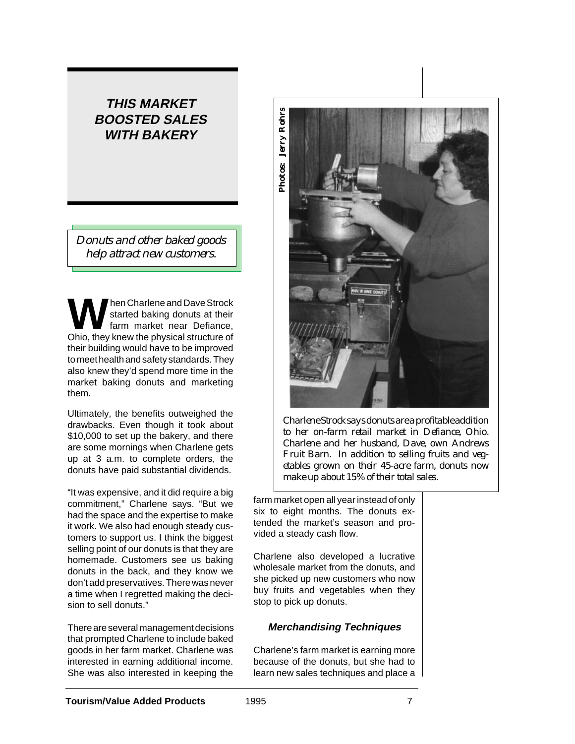# **THIS MARKET BOOSTED SALES WITH BAKERY**

*Donuts and other baked goods help attract new customers.*

**W** hen Charlene and Dave Strock<br>
farm market near Defiance,<br>
Objects they know the physical structure of started baking donuts at their Ohio, they knew the physical structure of their building would have to be improved to meet health and safety standards. They also knew they'd spend more time in the market baking donuts and marketing them.

Ultimately, the benefits outweighed the drawbacks. Even though it took about \$10,000 to set up the bakery, and there are some mornings when Charlene gets up at 3 a.m. to complete orders, the donuts have paid substantial dividends.

"It was expensive, and it did require a big commitment," Charlene says. "But we had the space and the expertise to make it work. We also had enough steady customers to support us. I think the biggest selling point of our donuts is that they are homemade. Customers see us baking donuts in the back, and they know we don't add preservatives. There was never a time when I regretted making the decision to sell donuts."

There are several management decisions that prompted Charlene to include baked goods in her farm market. Charlene was interested in earning additional income. She was also interested in keeping the



*Charlene Strock says donuts are a profitable addition to her on-farm retail market in Defiance, Ohio. Charlene and her husband, Dave, own Andrews Fruit Barn. In addition to selling fruits and vegetables grown on their 45-acre farm, donuts now make up about 15% of their total sales.*

farm market open all year instead of only six to eight months. The donuts extended the market's season and provided a steady cash flow.

Charlene also developed a lucrative wholesale market from the donuts, and she picked up new customers who now buy fruits and vegetables when they stop to pick up donuts.

### **Merchandising Techniques**

Charlene's farm market is earning more because of the donuts, but she had to learn new sales techniques and place a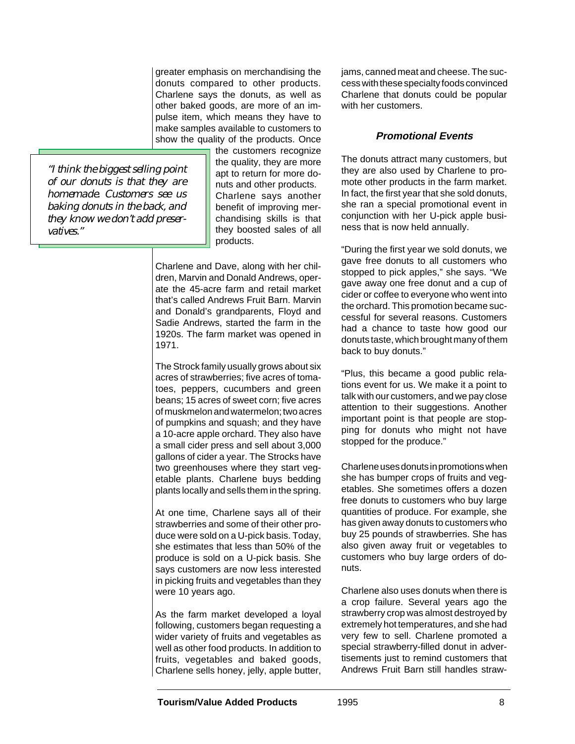greater emphasis on merchandising the donuts compared to other products. Charlene says the donuts, as well as other baked goods, are more of an impulse item, which means they have to make samples available to customers to show the quality of the products. Once

*"I think the biggest selling point of our donuts is that they are homemade. Customers see us baking donuts in the back, and they know we don't add preservatives."*

the customers recognize the quality, they are more apt to return for more donuts and other products. Charlene says another benefit of improving merchandising skills is that they boosted sales of all products.

Charlene and Dave, along with her children, Marvin and Donald Andrews, operate the 45-acre farm and retail market that's called Andrews Fruit Barn. Marvin and Donald's grandparents, Floyd and Sadie Andrews, started the farm in the 1920s. The farm market was opened in 1971.

The Strock family usually grows about six acres of strawberries; five acres of tomatoes, peppers, cucumbers and green beans; 15 acres of sweet corn; five acres of muskmelon and watermelon; two acres of pumpkins and squash; and they have a 10-acre apple orchard. They also have a small cider press and sell about 3,000 gallons of cider a year. The Strocks have two greenhouses where they start vegetable plants. Charlene buys bedding plants locally and sells them in the spring.

At one time, Charlene says all of their strawberries and some of their other produce were sold on a U-pick basis. Today, she estimates that less than 50% of the produce is sold on a U-pick basis. She says customers are now less interested in picking fruits and vegetables than they were 10 years ago.

As the farm market developed a loyal following, customers began requesting a wider variety of fruits and vegetables as well as other food products. In addition to fruits, vegetables and baked goods, Charlene sells honey, jelly, apple butter,

jams, canned meat and cheese. The success with these specialty foods convinced Charlene that donuts could be popular with her customers.

#### **Promotional Events**

The donuts attract many customers, but they are also used by Charlene to promote other products in the farm market. In fact, the first year that she sold donuts, she ran a special promotional event in conjunction with her U-pick apple business that is now held annually.

"During the first year we sold donuts, we gave free donuts to all customers who stopped to pick apples," she says. "We gave away one free donut and a cup of cider or coffee to everyone who went into the orchard. This promotion became successful for several reasons. Customers had a chance to taste how good our donuts taste, which brought many of them back to buy donuts."

"Plus, this became a good public relations event for us. We make it a point to talk with our customers, and we pay close attention to their suggestions. Another important point is that people are stopping for donuts who might not have stopped for the produce."

Charlene uses donuts in promotions when she has bumper crops of fruits and vegetables. She sometimes offers a dozen free donuts to customers who buy large quantities of produce. For example, she has given away donuts to customers who buy 25 pounds of strawberries. She has also given away fruit or vegetables to customers who buy large orders of donuts.

Charlene also uses donuts when there is a crop failure. Several years ago the strawberry crop was almost destroyed by extremely hot temperatures, and she had very few to sell. Charlene promoted a special strawberry-filled donut in advertisements just to remind customers that Andrews Fruit Barn still handles straw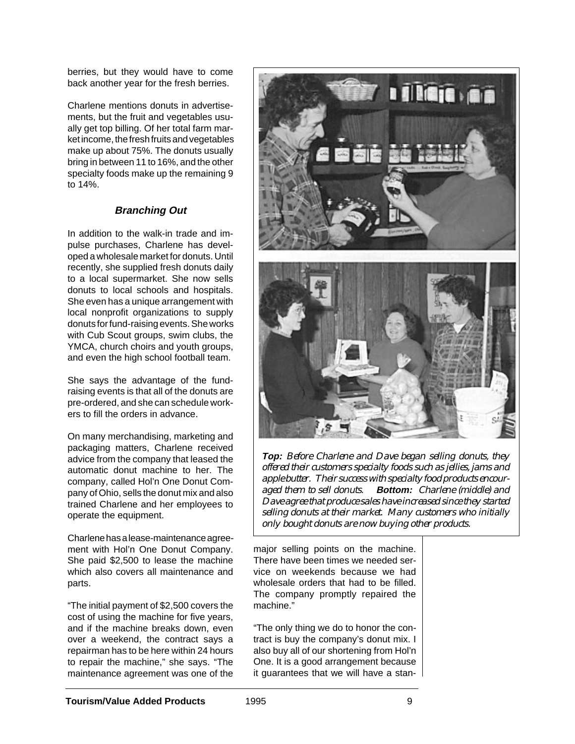berries, but they would have to come back another year for the fresh berries.

Charlene mentions donuts in advertisements, but the fruit and vegetables usually get top billing. Of her total farm market income, the fresh fruits and vegetables make up about 75%. The donuts usually bring in between 11 to 16%, and the other specialty foods make up the remaining 9 to 14%.

## **Branching Out**

In addition to the walk-in trade and impulse purchases, Charlene has developed a wholesale market for donuts. Until recently, she supplied fresh donuts daily to a local supermarket. She now sells donuts to local schools and hospitals. She even has a unique arrangement with local nonprofit organizations to supply donuts for fund-raising events. She works with Cub Scout groups, swim clubs, the YMCA, church choirs and youth groups, and even the high school football team.

She says the advantage of the fundraising events is that all of the donuts are pre-ordered, and she can schedule workers to fill the orders in advance.

On many merchandising, marketing and packaging matters, Charlene received advice from the company that leased the automatic donut machine to her. The company, called Hol'n One Donut Company of Ohio, sells the donut mix and also trained Charlene and her employees to operate the equipment.

Charlene has a lease-maintenance agreement with Hol'n One Donut Company. She paid \$2,500 to lease the machine which also covers all maintenance and parts.

"The initial payment of \$2,500 covers the cost of using the machine for five years, and if the machine breaks down, even over a weekend, the contract says a repairman has to be here within 24 hours to repair the machine," she says. "The maintenance agreement was one of the



**Top:** *Before Charlene and Dave began selling donuts, they offered their customers specialty foods such as jellies, jams and apple butter. Their success with specialty food products encouraged them to sell donuts.* **Bottom:** *Charlene (middle) and Dave agree that produce sales have increased since they started selling donuts at their market. Many customers who initially only bought donuts are now buying other products.*

major selling points on the machine. There have been times we needed service on weekends because we had wholesale orders that had to be filled. The company promptly repaired the machine."

"The only thing we do to honor the contract is buy the company's donut mix. I also buy all of our shortening from Hol'n One. It is a good arrangement because it guarantees that we will have a stan